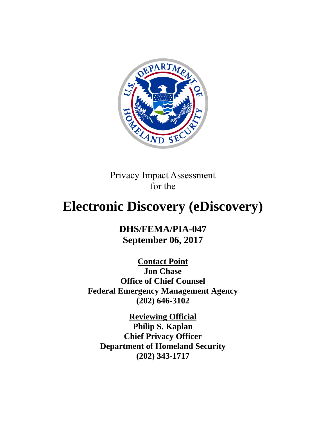

Privacy Impact Assessment for the

# **Electronic Discovery (eDiscovery)**

**DHS/FEMA/PIA-047 September 06, 2017**

**Contact Point Jon Chase Office of Chief Counsel Federal Emergency Management Agency (202) 646-3102**

**Reviewing Official Philip S. Kaplan Chief Privacy Officer Department of Homeland Security (202) 343-1717**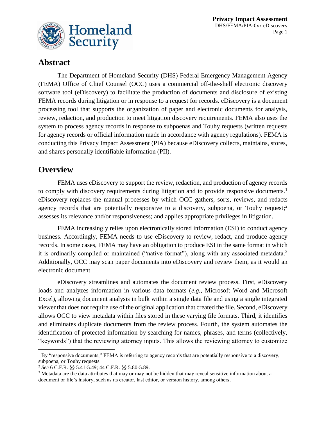**Privacy Impact Assessment** DHS/FEMA/PIA-0xx eDiscovery Page 1



#### **Abstract**

The Department of Homeland Security (DHS) Federal Emergency Management Agency (FEMA) Office of Chief Counsel (OCC) uses a commercial off-the-shelf electronic discovery software tool (eDiscovery) to facilitate the production of documents and disclosure of existing FEMA records during litigation or in response to a request for records. eDiscovery is a document processing tool that supports the organization of paper and electronic documents for analysis, review, redaction, and production to meet litigation discovery requirements. FEMA also uses the system to process agency records in response to subpoenas and Touhy requests (written requests for agency records or official information made in accordance with agency regulations). FEMA is conducting this Privacy Impact Assessment (PIA) because eDiscovery collects, maintains, stores, and shares personally identifiable information (PII).

#### **Overview**

FEMA uses eDiscovery to support the review, redaction, and production of agency records to comply with discovery requirements during litigation and to provide responsive documents.<sup>1</sup> eDiscovery replaces the manual processes by which OCC gathers, sorts, reviews, and redacts agency records that are potentially responsive to a discovery, subpoena, or Touhy request;<sup>2</sup> assesses its relevance and/or responsiveness; and applies appropriate privileges in litigation.

FEMA increasingly relies upon electronically stored information (ESI) to conduct agency business. Accordingly, FEMA needs to use eDiscovery to review, redact, and produce agency records. In some cases, FEMA may have an obligation to produce ESI in the same format in which it is ordinarily compiled or maintained ("native format"), along with any associated metadata.<sup>3</sup> Additionally, OCC may scan paper documents into eDiscovery and review them, as it would an electronic document.

eDiscovery streamlines and automates the document review process. First, eDiscovery loads and analyzes information in various data formats (*e.g.*, Microsoft Word and Microsoft Excel), allowing document analysis in bulk within a single data file and using a single integrated viewer that does not require use of the original application that created the file. Second, eDiscovery allows OCC to view metadata within files stored in these varying file formats. Third, it identifies and eliminates duplicate documents from the review process. Fourth, the system automates the identification of protected information by searching for names, phrases, and terms (collectively, "keywords") that the reviewing attorney inputs. This allows the reviewing attorney to customize

 $\overline{a}$  $1$  By "responsive documents," FEMA is referring to agency records that are potentially responsive to a discovery, subpoena, or Touhy requests.

<sup>2</sup> *See* 6 C.F.R. §§ 5.41-5.49; 44 C.F.R. §§ 5.80-5.89.

<sup>&</sup>lt;sup>3</sup> Metadata are the data attributes that may or may not be hidden that may reveal sensitive information about a document or file's history, such as its creator, last editor, or version history, among others.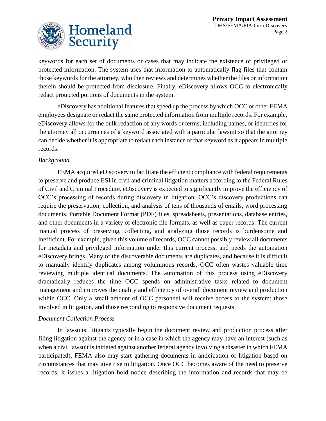

keywords for each set of documents or cases that may indicate the existence of privileged or protected information. The system uses that information to automatically flag files that contain those keywords for the attorney, who then reviews and determines whether the files or information therein should be protected from disclosure. Finally, eDiscovery allows OCC to electronically redact protected portions of documents in the system.

eDiscovery has additional features that speed up the process by which OCC or other FEMA employees designate or redact the same protected information from multiple records. For example, eDiscovery allows for the bulk redaction of any words or terms, including names, or identifies for the attorney all occurrences of a keyword associated with a particular lawsuit so that the attorney can decide whether it is appropriate to redact each instance of that keyword as it appears in multiple records.

#### *Background*

FEMA acquired eDiscovery to facilitate the efficient compliance with federal requirements to preserve and produce ESI in civil and criminal litigation matters according to the Federal Rules of Civil and Criminal Procedure. eDiscovery is expected to significantly improve the efficiency of OCC's processing of records during discovery in litigation. OCC's discovery productions can require the preservation, collection, and analysis of tens of thousands of emails, word processing documents, Portable Document Format (PDF) files, spreadsheets, presentations, database entries, and other documents in a variety of electronic file formats, as well as paper records. The current manual process of preserving, collecting, and analyzing those records is burdensome and inefficient. For example, given this volume of records, OCC cannot possibly review all documents for metadata and privileged information under this current process, and needs the automation eDiscovery brings. Many of the discoverable documents are duplicates, and because it is difficult to manually identify duplicates among voluminous records, OCC often wastes valuable time reviewing multiple identical documents. The automation of this process using eDiscovery dramatically reduces the time OCC spends on administrative tasks related to document management and improves the quality and efficiency of overall document review and production within OCC. Only a small amount of OCC personnel will receive access to the system: those involved in litigation, and those responding to responsive document requests.

#### *Document Collection Process*

In lawsuits, litigants typically begin the document review and production process after filing litigation against the agency or in a case in which the agency may have an interest (such as when a civil lawsuit is initiated against another federal agency involving a disaster in which FEMA participated). FEMA also may start gathering documents in anticipation of litigation based on circumstances that may give rise to litigation. Once OCC becomes aware of the need to preserve records, it issues a litigation hold notice describing the information and records that may be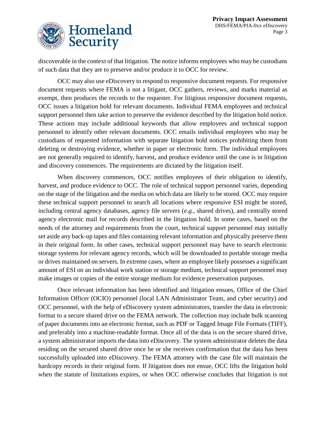

discoverable in the context of that litigation. The notice informs employees who may be custodians of such data that they are to preserve and/or produce it to OCC for review.

OCC may also use eDiscovery to respond to responsive document requests. For responsive document requests where FEMA is not a litigant, OCC gathers, reviews, and marks material as exempt, then produces the records to the requester. For litigious responsive document requests, OCC issues a litigation hold for relevant documents. Individual FEMA employees and technical support personnel then take action to preserve the evidence described by the litigation hold notice. These actions may include additional keywords that allow employees and technical support personnel to identify other relevant documents. OCC emails individual employees who may be custodians of requested information with separate litigation hold notices prohibiting them from deleting or destroying evidence, whether in paper or electronic form. The individual employees are not generally required to identify, harvest, and produce evidence until the case is in litigation and discovery commences. The requirements are dictated by the litigation itself.

When discovery commences, OCC notifies employees of their obligation to identify, harvest, and produce evidence to OCC. The role of technical support personnel varies, depending on the stage of the litigation and the media on which data are likely to be stored. OCC may require these technical support personnel to search all locations where responsive ESI might be stored, including central agency databases, agency file servers (*e.g.*, shared drives), and centrally stored agency electronic mail for records described in the litigation hold. In some cases, based on the needs of the attorney and requirements from the court, technical support personnel may initially set aside any back-up tapes and files containing relevant information and physically preserve them in their original form. In other cases, technical support personnel may have to search electronic storage systems for relevant agency records, which will be downloaded to portable storage media or drives maintained on servers. In extreme cases, where an employee likely possesses a significant amount of ESI on an individual work station or storage medium, technical support personnel may make images or copies of the entire storage medium for evidence preservation purposes.

Once relevant information has been identified and litigation ensues, Office of the Chief Information Officer (OCIO) personnel (local LAN Administrator Team, and cyber security) and OCC personnel, with the help of eDiscovery system administrators, transfer the data in electronic format to a secure shared drive on the FEMA network. The collection may include bulk scanning of paper documents into an electronic format, such as PDF or Tagged Image File Formats (TIFF), and preferably into a machine-readable format. Once all of the data is on the secure shared drive, a system administrator imports the data into eDiscovery. The system administrator deletes the data residing on the secured shared drive once he or she receives confirmation that the data has been successfully uploaded into eDiscovery. The FEMA attorney with the case file will maintain the hardcopy records in their original form. If litigation does not ensue, OCC lifts the litigation hold when the statute of limitations expires, or when OCC otherwise concludes that litigation is not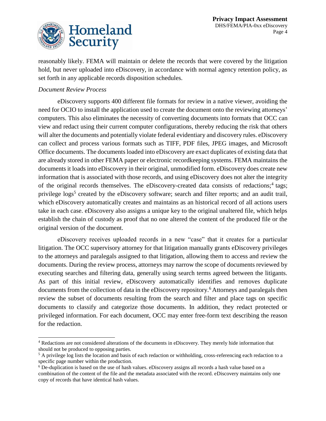

reasonably likely. FEMA will maintain or delete the records that were covered by the litigation hold, but never uploaded into eDiscovery, in accordance with normal agency retention policy, as set forth in any applicable records disposition schedules.

#### *Document Review Process*

 $\overline{a}$ 

eDiscovery supports 400 different file formats for review in a native viewer, avoiding the need for OCIO to install the application used to create the document onto the reviewing attorneys' computers. This also eliminates the necessity of converting documents into formats that OCC can view and redact using their current computer configurations, thereby reducing the risk that others will alter the documents and potentially violate federal evidentiary and discovery rules. eDiscovery can collect and process various formats such as TIFF, PDF files, JPEG images, and Microsoft Office documents. The documents loaded into eDiscovery are exact duplicates of existing data that are already stored in other FEMA paper or electronic recordkeeping systems. FEMA maintains the documents it loads into eDiscovery in their original, unmodified form. eDiscovery does create new information that is associated with those records, and using eDiscovery does not alter the integrity of the original records themselves. The eDiscovery-created data consists of redactions;<sup>4</sup> tags; privilege logs<sup>5</sup> created by the eDiscovery software; search and filter reports; and an audit trail, which eDiscovery automatically creates and maintains as an historical record of all actions users take in each case. eDiscovery also assigns a unique key to the original unaltered file, which helps establish the chain of custody as proof that no one altered the content of the produced file or the original version of the document.

eDiscovery receives uploaded records in a new "case" that it creates for a particular litigation. The OCC supervisory attorney for that litigation manually grants eDiscovery privileges to the attorneys and paralegals assigned to that litigation, allowing them to access and review the documents. During the review process, attorneys may narrow the scope of documents reviewed by executing searches and filtering data, generally using search terms agreed between the litigants. As part of this initial review, eDiscovery automatically identifies and removes duplicate documents from the collection of data in the eDiscovery repository.<sup>6</sup> Attorneys and paralegals then review the subset of documents resulting from the search and filter and place tags on specific documents to classify and categorize those documents. In addition, they redact protected or privileged information. For each document, OCC may enter free-form text describing the reason for the redaction.

<sup>4</sup> Redactions are not considered alterations of the documents in eDiscovery. They merely hide information that should not be produced to opposing parties.

 $5$  A privilege log lists the location and basis of each redaction or withholding, cross-referencing each redaction to a specific page number within the production.

<sup>6</sup> De-duplication is based on the use of hash values. eDiscovery assigns all records a hash value based on a combination of the content of the file and the metadata associated with the record. eDiscovery maintains only one copy of records that have identical hash values.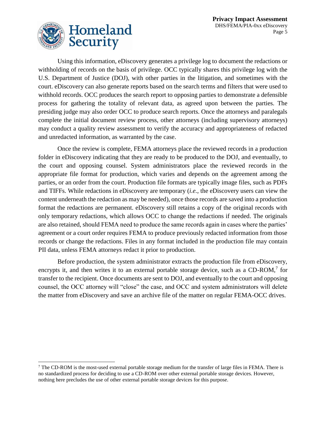

l

Using this information, eDiscovery generates a privilege log to document the redactions or withholding of records on the basis of privilege. OCC typically shares this privilege log with the U.S. Department of Justice (DOJ), with other parties in the litigation, and sometimes with the court. eDiscovery can also generate reports based on the search terms and filters that were used to withhold records. OCC produces the search report to opposing parties to demonstrate a defensible process for gathering the totality of relevant data, as agreed upon between the parties. The presiding judge may also order OCC to produce search reports. Once the attorneys and paralegals complete the initial document review process, other attorneys (including supervisory attorneys) may conduct a quality review assessment to verify the accuracy and appropriateness of redacted and unredacted information, as warranted by the case.

Once the review is complete, FEMA attorneys place the reviewed records in a production folder in eDiscovery indicating that they are ready to be produced to the DOJ, and eventually, to the court and opposing counsel. System administrators place the reviewed records in the appropriate file format for production, which varies and depends on the agreement among the parties, or an order from the court. Production file formats are typically image files, such as PDFs and TIFFs. While redactions in eDiscovery are temporary (*i.e.*, the eDiscovery users can view the content underneath the redaction as may be needed), once those records are saved into a production format the redactions are permanent. eDiscovery still retains a copy of the original records with only temporary redactions, which allows OCC to change the redactions if needed. The originals are also retained, should FEMA need to produce the same records again in cases where the parties' agreement or a court order requires FEMA to produce previously redacted information from those records or change the redactions. Files in any format included in the production file may contain PII data, unless FEMA attorneys redact it prior to production.

Before production, the system administrator extracts the production file from eDiscovery, encrypts it, and then writes it to an external portable storage device, such as a  $CD-ROM, 7$  for transfer to the recipient. Once documents are sent to DOJ, and eventually to the court and opposing counsel, the OCC attorney will "close" the case, and OCC and system administrators will delete the matter from eDiscovery and save an archive file of the matter on regular FEMA-OCC drives.

 $7$  The CD-ROM is the most-used external portable storage medium for the transfer of large files in FEMA. There is no standardized process for deciding to use a CD-ROM over other external portable storage devices. However, nothing here precludes the use of other external portable storage devices for this purpose.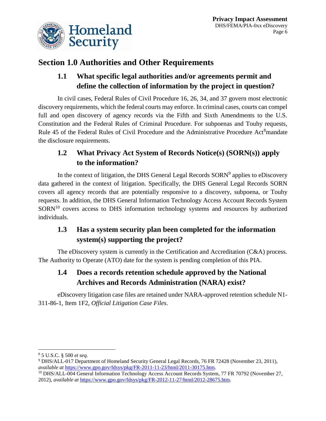

# **Section 1.0 Authorities and Other Requirements**

### **1.1 What specific legal authorities and/or agreements permit and define the collection of information by the project in question?**

In civil cases, Federal Rules of Civil Procedure 16, 26, 34, and 37 govern most electronic discovery requirements, which the federal courts may enforce. In criminal cases, courts can compel full and open discovery of agency records via the Fifth and Sixth Amendments to the U.S. Constitution and the Federal Rules of Criminal Procedure. For subpoenas and Touhy requests, Rule 45 of the Federal Rules of Civil Procedure and the Administrative Procedure Act<sup>8</sup>mandate the disclosure requirements.

# **1.2 What Privacy Act System of Records Notice(s) (SORN(s)) apply to the information?**

In the context of litigation, the DHS General Legal Records SORN<sup>9</sup> applies to eDiscovery data gathered in the context of litigation. Specifically, the DHS General Legal Records SORN covers all agency records that are potentially responsive to a discovery, subpoena, or Touhy requests. In addition, the DHS General Information Technology Access Account Records System  $SORN<sup>10</sup>$  covers access to DHS information technology systems and resources by authorized individuals.

# **1.3 Has a system security plan been completed for the information system(s) supporting the project?**

The eDiscovery system is currently in the Certification and Accreditation (C&A) process. The Authority to Operate (ATO) date for the system is pending completion of this PIA.

### **1.4 Does a records retention schedule approved by the National Archives and Records Administration (NARA) exist?**

eDiscovery litigation case files are retained under NARA-approved retention schedule N1- 311-86-1, Item 1F2, *Official Litigation Case Files*.

 $\overline{a}$ 

<sup>8</sup> 5 U.S.C. § 500 *et seq.*

<sup>9</sup> DHS/ALL-017 Department of Homeland Security General Legal Records, 76 FR 72428 (November 23, 2011), *available at* [https://www.gpo.gov/fdsys/pkg/FR-2011-11-23/html/2011-30175.htm.](https://www.gpo.gov/fdsys/pkg/FR-2011-11-23/html/2011-30175.htm)

<sup>10</sup> DHS/ALL-004 General Information Technology Access Account Records System, 77 FR 70792 (November 27, 2012), *available at* [https://www.gpo.gov/fdsys/pkg/FR-2012-11-27/html/2012-28675.htm.](https://www.gpo.gov/fdsys/pkg/FR-2012-11-27/html/2012-28675.htm)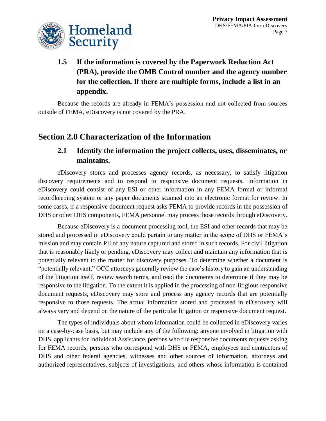

# **1.5 If the information is covered by the Paperwork Reduction Act (PRA), provide the OMB Control number and the agency number for the collection. If there are multiple forms, include a list in an appendix.**

Because the records are already in FEMA's possession and not collected from sources outside of FEMA, eDiscovery is not covered by the PRA.

### **Section 2.0 Characterization of the Information**

#### **2.1 Identify the information the project collects, uses, disseminates, or maintains.**

eDiscovery stores and processes agency records, as necessary, to satisfy litigation discovery requirements and to respond to responsive document requests. Information in eDiscovery could consist of any ESI or other information in any FEMA formal or informal recordkeeping system or any paper documents scanned into an electronic format for review. In some cases, if a responsive document request asks FEMA to provide records in the possession of DHS or other DHS components, FEMA personnel may process those records through eDiscovery.

Because eDiscovery is a document processing tool, the ESI and other records that may be stored and processed in eDiscovery could pertain to any matter in the scope of DHS or FEMA's mission and may contain PII of any nature captured and stored in such records. For civil litigation that is reasonably likely or pending, eDiscovery may collect and maintain any information that is potentially relevant to the matter for discovery purposes. To determine whether a document is "potentially relevant," OCC attorneys generally review the case's history to gain an understanding of the litigation itself, review search terms, and read the documents to determine if they may be responsive to the litigation. To the extent it is applied in the processing of non-litigious responsive document requests, eDiscovery may store and process any agency records that are potentially responsive to those requests. The actual information stored and processed in eDiscovery will always vary and depend on the nature of the particular litigation or responsive document request.

The types of individuals about whom information could be collected in eDiscovery varies on a case-by-case basis, but may include any of the following: anyone involved in litigation with DHS, applicants for Individual Assistance, persons who file responsive documents requests asking for FEMA records, persons who correspond with DHS or FEMA, employees and contractors of DHS and other federal agencies, witnesses and other sources of information, attorneys and authorized representatives, subjects of investigations, and others whose information is contained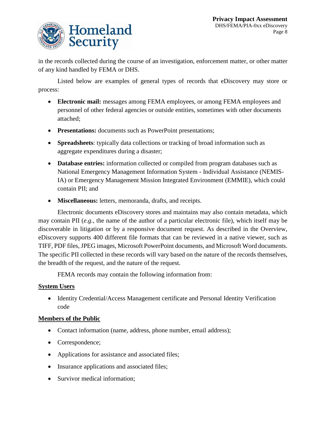

in the records collected during the course of an investigation, enforcement matter, or other matter of any kind handled by FEMA or DHS.

Listed below are examples of general types of records that eDiscovery may store or process:

- **Electronic mail:** messages among FEMA employees, or among FEMA employees and personnel of other federal agencies or outside entities, sometimes with other documents attached;
- **Presentations:** documents such as PowerPoint presentations;
- **Spreadsheets**: typically data collections or tracking of broad information such as aggregate expenditures during a disaster;
- **Database entries:** information collected or compiled from program databases such as National Emergency Management Information System - Individual Assistance (NEMIS-IA) or Emergency Management Mission Integrated Environment (EMMIE), which could contain PII; and
- **Miscellaneous:** letters, memoranda, drafts, and receipts.

Electronic documents eDiscovery stores and maintains may also contain metadata, which may contain PII (*e.g.*, the name of the author of a particular electronic file), which itself may be discoverable in litigation or by a responsive document request. As described in the Overview, eDiscovery supports 400 different file formats that can be reviewed in a native viewer, such as TIFF, PDF files, JPEG images, Microsoft PowerPoint documents, and Microsoft Word documents. The specific PII collected in these records will vary based on the nature of the records themselves, the breadth of the request, and the nature of the request.

FEMA records may contain the following information from:

#### **System Users**

 Identity Credential/Access Management certificate and Personal Identity Verification code

#### **Members of the Public**

- Contact information (name, address, phone number, email address);
- Correspondence;
- Applications for assistance and associated files;
- Insurance applications and associated files;
- Survivor medical information;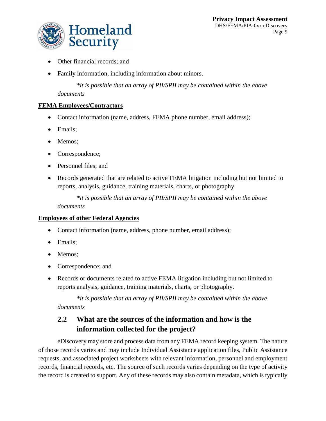

- Other financial records; and
- Family information, including information about minors.

*\*it is possible that an array of PII/SPII may be contained within the above documents*

#### **FEMA Employees/Contractors**

- Contact information (name, address, FEMA phone number, email address);
- Emails;
- Memos;
- Correspondence;
- Personnel files; and
- Records generated that are related to active FEMA litigation including but not limited to reports, analysis, guidance, training materials, charts, or photography.

*\*it is possible that an array of PII/SPII may be contained within the above documents*

#### **Employees of other Federal Agencies**

- Contact information (name, address, phone number, email address);
- Emails;
- Memos;
- Correspondence; and
- Records or documents related to active FEMA litigation including but not limited to reports analysis, guidance, training materials, charts, or photography.

*\*it is possible that an array of PII/SPII may be contained within the above documents*

#### **2.2 What are the sources of the information and how is the information collected for the project?**

eDiscovery may store and process data from any FEMA record keeping system. The nature of those records varies and may include Individual Assistance application files, Public Assistance requests, and associated project worksheets with relevant information, personnel and employment records, financial records, etc. The source of such records varies depending on the type of activity the record is created to support. Any of these records may also contain metadata, which is typically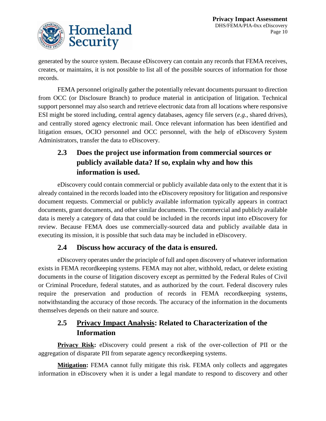

generated by the source system. Because eDiscovery can contain any records that FEMA receives, creates, or maintains, it is not possible to list all of the possible sources of information for those records.

FEMA personnel originally gather the potentially relevant documents pursuant to direction from OCC (or Disclosure Branch) to produce material in anticipation of litigation. Technical support personnel may also search and retrieve electronic data from all locations where responsive ESI might be stored including, central agency databases, agency file servers (*e.g.*, shared drives), and centrally stored agency electronic mail. Once relevant information has been identified and litigation ensues, OCIO personnel and OCC personnel, with the help of eDiscovery System Administrators, transfer the data to eDiscovery.

# **2.3 Does the project use information from commercial sources or publicly available data? If so, explain why and how this information is used.**

eDiscovery could contain commercial or publicly available data only to the extent that it is already contained in the records loaded into the eDiscovery repository for litigation and responsive document requests. Commercial or publicly available information typically appears in contract documents, grant documents, and other similar documents. The commercial and publicly available data is merely a category of data that could be included in the records input into eDiscovery for review. Because FEMA does use commercially-sourced data and publicly available data in executing its mission, it is possible that such data may be included in eDiscovery.

#### **2.4 Discuss how accuracy of the data is ensured.**

eDiscovery operates under the principle of full and open discovery of whatever information exists in FEMA recordkeeping systems. FEMA may not alter, withhold, redact, or delete existing documents in the course of litigation discovery except as permitted by the Federal Rules of Civil or Criminal Procedure, federal statutes, and as authorized by the court. Federal discovery rules require the preservation and production of records in FEMA recordkeeping systems, notwithstanding the accuracy of those records. The accuracy of the information in the documents themselves depends on their nature and source.

### **2.5 Privacy Impact Analysis: Related to Characterization of the Information**

**Privacy Risk:** eDiscovery could present a risk of the over-collection of PII or the aggregation of disparate PII from separate agency recordkeeping systems.

**Mitigation:** FEMA cannot fully mitigate this risk. FEMA only collects and aggregates information in eDiscovery when it is under a legal mandate to respond to discovery and other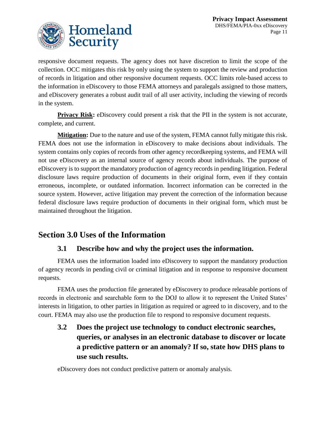

responsive document requests. The agency does not have discretion to limit the scope of the collection. OCC mitigates this risk by only using the system to support the review and production of records in litigation and other responsive document requests. OCC limits role-based access to the information in eDiscovery to those FEMA attorneys and paralegals assigned to those matters, and eDiscovery generates a robust audit trail of all user activity, including the viewing of records in the system.

**Privacy Risk:** eDiscovery could present a risk that the PII in the system is not accurate, complete, and current.

**Mitigation:** Due to the nature and use of the system, FEMA cannot fully mitigate this risk. FEMA does not use the information in eDiscovery to make decisions about individuals. The system contains only copies of records from other agency recordkeeping systems, and FEMA will not use eDiscovery as an internal source of agency records about individuals. The purpose of eDiscovery is to support the mandatory production of agency records in pending litigation. Federal disclosure laws require production of documents in their original form, even if they contain erroneous, incomplete, or outdated information. Incorrect information can be corrected in the source system. However, active litigation may prevent the correction of the information because federal disclosure laws require production of documents in their original form, which must be maintained throughout the litigation.

# **Section 3.0 Uses of the Information**

#### **3.1 Describe how and why the project uses the information.**

FEMA uses the information loaded into eDiscovery to support the mandatory production of agency records in pending civil or criminal litigation and in response to responsive document requests.

FEMA uses the production file generated by eDiscovery to produce releasable portions of records in electronic and searchable form to the DOJ to allow it to represent the United States' interests in litigation, to other parties in litigation as required or agreed to in discovery, and to the court. FEMA may also use the production file to respond to responsive document requests.

**3.2 Does the project use technology to conduct electronic searches, queries, or analyses in an electronic database to discover or locate a predictive pattern or an anomaly? If so, state how DHS plans to use such results.**

eDiscovery does not conduct predictive pattern or anomaly analysis.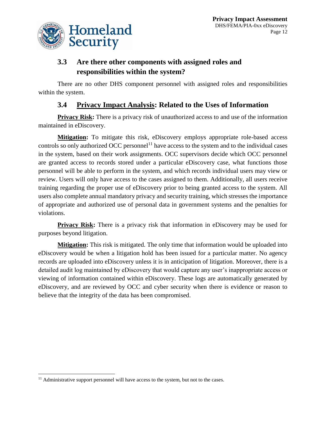

# **3.3 Are there other components with assigned roles and responsibilities within the system?**

There are no other DHS component personnel with assigned roles and responsibilities within the system.

#### **3.4 Privacy Impact Analysis: Related to the Uses of Information**

**Privacy Risk:** There is a privacy risk of unauthorized access to and use of the information maintained in eDiscovery.

**Mitigation:** To mitigate this risk, eDiscovery employs appropriate role-based access controls so only authorized OCC personnel<sup>11</sup> have access to the system and to the individual cases in the system, based on their work assignments. OCC supervisors decide which OCC personnel are granted access to records stored under a particular eDiscovery case, what functions those personnel will be able to perform in the system, and which records individual users may view or review. Users will only have access to the cases assigned to them. Additionally, all users receive training regarding the proper use of eDiscovery prior to being granted access to the system. All users also complete annual mandatory privacy and security training, which stresses the importance of appropriate and authorized use of personal data in government systems and the penalties for violations.

**Privacy Risk:** There is a privacy risk that information in eDiscovery may be used for purposes beyond litigation.

**Mitigation:** This risk is mitigated. The only time that information would be uploaded into eDiscovery would be when a litigation hold has been issued for a particular matter. No agency records are uploaded into eDiscovery unless it is in anticipation of litigation. Moreover, there is a detailed audit log maintained by eDiscovery that would capture any user's inappropriate access or viewing of information contained within eDiscovery. These logs are automatically generated by eDiscovery, and are reviewed by OCC and cyber security when there is evidence or reason to believe that the integrity of the data has been compromised.

l

<sup>&</sup>lt;sup>11</sup> Administrative support personnel will have access to the system, but not to the cases.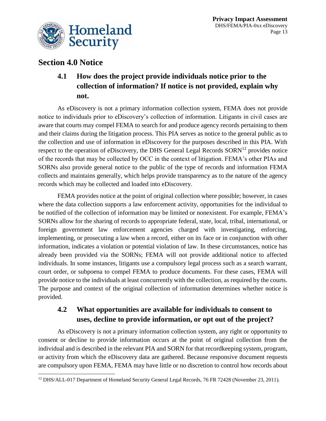

# **Section 4.0 Notice**

l

# **4.1 How does the project provide individuals notice prior to the collection of information? If notice is not provided, explain why not.**

As eDiscovery is not a primary information collection system, FEMA does not provide notice to individuals prior to eDiscovery's collection of information. Litigants in civil cases are aware that courts may compel FEMA to search for and produce agency records pertaining to them and their claims during the litigation process. This PIA serves as notice to the general public as to the collection and use of information in eDiscovery for the purposes described in this PIA. With respect to the operation of eDiscovery, the DHS General Legal Records  $SORN^{12}$  provides notice of the records that may be collected by OCC in the context of litigation. FEMA's other PIAs and SORNs also provide general notice to the public of the type of records and information FEMA collects and maintains generally, which helps provide transparency as to the nature of the agency records which may be collected and loaded into eDiscovery.

FEMA provides notice at the point of original collection where possible; however, in cases where the data collection supports a law enforcement activity, opportunities for the individual to be notified of the collection of information may be limited or nonexistent. For example, FEMA's SORNs allow for the sharing of records to appropriate federal, state, local, tribal, international, or foreign government law enforcement agencies charged with investigating, enforcing, implementing, or prosecuting a law when a record, either on its face or in conjunction with other information, indicates a violation or potential violation of law. In these circumstances, notice has already been provided via the SORNs; FEMA will not provide additional notice to affected individuals. In some instances, litigants use a compulsory legal process such as a search warrant, court order, or subpoena to compel FEMA to produce documents. For these cases, FEMA will provide notice to the individuals at least concurrently with the collection, as required by the courts. The purpose and context of the original collection of information determines whether notice is provided.

#### **4.2 What opportunities are available for individuals to consent to uses, decline to provide information, or opt out of the project?**

As eDiscovery is not a primary information collection system, any right or opportunity to consent or decline to provide information occurs at the point of original collection from the individual and is described in the relevant PIA and SORN for that recordkeeping system, program, or activity from which the eDiscovery data are gathered. Because responsive document requests are compulsory upon FEMA, FEMA may have little or no discretion to control how records about

<sup>&</sup>lt;sup>12</sup> DHS/ALL-017 Department of Homeland Security General Legal Records, 76 FR 72428 (November 23, 2011).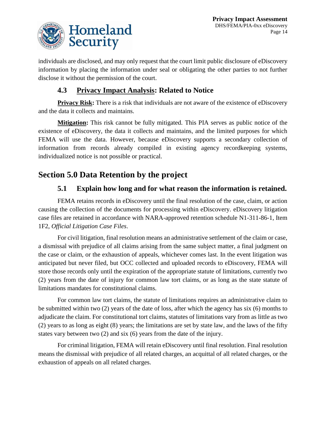

individuals are disclosed, and may only request that the court limit public disclosure of eDiscovery information by placing the information under seal or obligating the other parties to not further disclose it without the permission of the court.

#### **4.3 Privacy Impact Analysis: Related to Notice**

**Privacy Risk:** There is a risk that individuals are not aware of the existence of eDiscovery and the data it collects and maintains.

**Mitigation:** This risk cannot be fully mitigated. This PIA serves as public notice of the existence of eDiscovery, the data it collects and maintains, and the limited purposes for which FEMA will use the data. However, because eDiscovery supports a secondary collection of information from records already compiled in existing agency recordkeeping systems, individualized notice is not possible or practical.

# **Section 5.0 Data Retention by the project**

#### **5.1 Explain how long and for what reason the information is retained.**

FEMA retains records in eDiscovery until the final resolution of the case, claim, or action causing the collection of the documents for processing within eDiscovery. eDiscovery litigation case files are retained in accordance with NARA-approved retention schedule N1-311-86-1, Item 1F2, *Official Litigation Case Files*.

For civil litigation, final resolution means an administrative settlement of the claim or case, a dismissal with prejudice of all claims arising from the same subject matter, a final judgment on the case or claim, or the exhaustion of appeals, whichever comes last. In the event litigation was anticipated but never filed, but OCC collected and uploaded records to eDiscovery, FEMA will store those records only until the expiration of the appropriate statute of limitations, currently two (2) years from the date of injury for common law tort claims, or as long as the state statute of limitations mandates for constitutional claims.

For common law tort claims, the statute of limitations requires an administrative claim to be submitted within two (2) years of the date of loss, after which the agency has six (6) months to adjudicate the claim. For constitutional tort claims, statutes of limitations vary from as little as two (2) years to as long as eight (8) years; the limitations are set by state law, and the laws of the fifty states vary between two (2) and six (6) years from the date of the injury.

For criminal litigation, FEMA will retain eDiscovery until final resolution. Final resolution means the dismissal with prejudice of all related charges, an acquittal of all related charges, or the exhaustion of appeals on all related charges.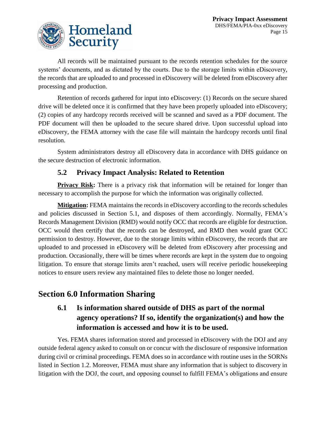

All records will be maintained pursuant to the records retention schedules for the source systems' documents, and as dictated by the courts. Due to the storage limits within eDiscovery, the records that are uploaded to and processed in eDiscovery will be deleted from eDiscovery after processing and production.

Retention of records gathered for input into eDiscovery: (1) Records on the secure shared drive will be deleted once it is confirmed that they have been properly uploaded into eDiscovery; (2) copies of any hardcopy records received will be scanned and saved as a PDF document. The PDF document will then be uploaded to the secure shared drive. Upon successful upload into eDiscovery, the FEMA attorney with the case file will maintain the hardcopy records until final resolution.

System administrators destroy all eDiscovery data in accordance with DHS guidance on the secure destruction of electronic information.

#### **5.2 Privacy Impact Analysis: Related to Retention**

**Privacy Risk:** There is a privacy risk that information will be retained for longer than necessary to accomplish the purpose for which the information was originally collected.

**Mitigation:** FEMA maintains the records in eDiscovery according to the records schedules and policies discussed in Section 5.1, and disposes of them accordingly. Normally, FEMA's Records Management Division (RMD) would notify OCC that records are eligible for destruction. OCC would then certify that the records can be destroyed, and RMD then would grant OCC permission to destroy. However, due to the storage limits within eDiscovery, the records that are uploaded to and processed in eDiscovery will be deleted from eDiscovery after processing and production. Occasionally, there will be times where records are kept in the system due to ongoing litigation. To ensure that storage limits aren't reached, users will receive periodic housekeeping notices to ensure users review any maintained files to delete those no longer needed.

# **Section 6.0 Information Sharing**

# **6.1 Is information shared outside of DHS as part of the normal agency operations? If so, identify the organization(s) and how the information is accessed and how it is to be used.**

Yes. FEMA shares information stored and processed in eDiscovery with the DOJ and any outside federal agency asked to consult on or concur with the disclosure of responsive information during civil or criminal proceedings. FEMA does so in accordance with routine uses in the SORNs listed in Section 1.2. Moreover, FEMA must share any information that is subject to discovery in litigation with the DOJ, the court, and opposing counsel to fulfill FEMA's obligations and ensure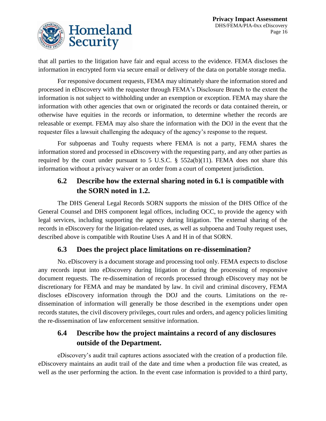

that all parties to the litigation have fair and equal access to the evidence. FEMA discloses the information in encrypted form via secure email or delivery of the data on portable storage media.

For responsive document requests, FEMA may ultimately share the information stored and processed in eDiscovery with the requester through FEMA's Disclosure Branch to the extent the information is not subject to withholding under an exemption or exception. FEMA may share the information with other agencies that own or originated the records or data contained therein, or otherwise have equities in the records or information, to determine whether the records are releasable or exempt. FEMA may also share the information with the DOJ in the event that the requester files a lawsuit challenging the adequacy of the agency's response to the request.

For subpoenas and Touhy requests where FEMA is not a party, FEMA shares the information stored and processed in eDiscovery with the requesting party, and any other parties as required by the court under pursuant to 5 U.S.C.  $\S$  552a(b)(11). FEMA does not share this information without a privacy waiver or an order from a court of competent jurisdiction.

### **6.2 Describe how the external sharing noted in 6.1 is compatible with the SORN noted in 1.2.**

The DHS General Legal Records SORN supports the mission of the DHS Office of the General Counsel and DHS component legal offices, including OCC, to provide the agency with legal services, including supporting the agency during litigation. The external sharing of the records in eDiscovery for the litigation-related uses, as well as subpoena and Touhy request uses, described above is compatible with Routine Uses A and H in of that SORN.

#### **6.3 Does the project place limitations on re-dissemination?**

No. eDiscovery is a document storage and processing tool only. FEMA expects to disclose any records input into eDiscovery during litigation or during the processing of responsive document requests. The re-dissemination of records processed through eDiscovery may not be discretionary for FEMA and may be mandated by law. In civil and criminal discovery, FEMA discloses eDiscovery information through the DOJ and the courts. Limitations on the redissemination of information will generally be those described in the exemptions under open records statutes, the civil discovery privileges, court rules and orders, and agency policies limiting the re-dissemination of law enforcement sensitive information.

#### **6.4 Describe how the project maintains a record of any disclosures outside of the Department.**

eDiscovery's audit trail captures actions associated with the creation of a production file. eDiscovery maintains an audit trail of the date and time when a production file was created, as well as the user performing the action. In the event case information is provided to a third party,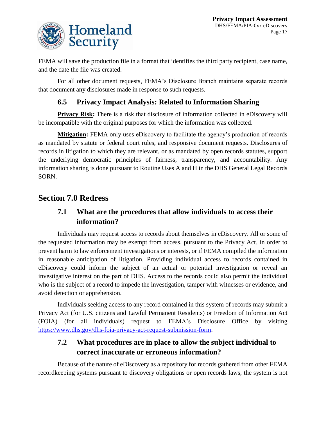

FEMA will save the production file in a format that identifies the third party recipient, case name, and the date the file was created.

For all other document requests, FEMA's Disclosure Branch maintains separate records that document any disclosures made in response to such requests.

#### **6.5 Privacy Impact Analysis: Related to Information Sharing**

**Privacy Risk:** There is a risk that disclosure of information collected in eDiscovery will be incompatible with the original purposes for which the information was collected.

**Mitigation:** FEMA only uses eDiscovery to facilitate the agency's production of records as mandated by statute or federal court rules, and responsive document requests. Disclosures of records in litigation to which they are relevant, or as mandated by open records statutes, support the underlying democratic principles of fairness, transparency, and accountability. Any information sharing is done pursuant to Routine Uses A and H in the DHS General Legal Records SORN.

# **Section 7.0 Redress**

### **7.1 What are the procedures that allow individuals to access their information?**

Individuals may request access to records about themselves in eDiscovery. All or some of the requested information may be exempt from access, pursuant to the Privacy Act, in order to prevent harm to law enforcement investigations or interests, or if FEMA compiled the information in reasonable anticipation of litigation. Providing individual access to records contained in eDiscovery could inform the subject of an actual or potential investigation or reveal an investigative interest on the part of DHS. Access to the records could also permit the individual who is the subject of a record to impede the investigation, tamper with witnesses or evidence, and avoid detection or apprehension.

Individuals seeking access to any record contained in this system of records may submit a Privacy Act (for U.S. citizens and Lawful Permanent Residents) or Freedom of Information Act (FOIA) (for all individuals) request to FEMA's Disclosure Office by visiting [https://www.dhs.gov/dhs-foia-privacy-act-request-submission-form.](https://www.dhs.gov/dhs-foia-privacy-act-request-submission-form)

#### **7.2 What procedures are in place to allow the subject individual to correct inaccurate or erroneous information?**

Because of the nature of eDiscovery as a repository for records gathered from other FEMA recordkeeping systems pursuant to discovery obligations or open records laws, the system is not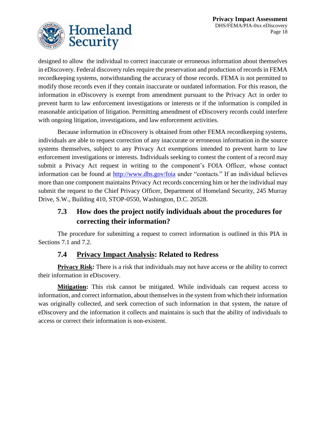

designed to allow the individual to correct inaccurate or erroneous information about themselves in eDiscovery. Federal discovery rules require the preservation and production of records in FEMA recordkeeping systems, notwithstanding the accuracy of those records. FEMA is not permitted to modify those records even if they contain inaccurate or outdated information. For this reason, the information in eDiscovery is exempt from amendment pursuant to the Privacy Act in order to prevent harm to law enforcement investigations or interests or if the information is compiled in reasonable anticipation of litigation. Permitting amendment of eDiscovery records could interfere with ongoing litigation, investigations, and law enforcement activities.

Because information in eDiscovery is obtained from other FEMA recordkeeping systems, individuals are able to request correction of any inaccurate or erroneous information in the source systems themselves, subject to any Privacy Act exemptions intended to prevent harm to law enforcement investigations or interests. Individuals seeking to contest the content of a record may submit a Privacy Act request in writing to the component's FOIA Officer, whose contact information can be found at<http://www.dhs.gov/foia> under "contacts." If an individual believes more than one component maintains Privacy Act records concerning him or her the individual may submit the request to the Chief Privacy Officer, Department of Homeland Security, 245 Murray Drive, S.W., Building 410, STOP-0550, Washington, D.C. 20528.

### **7.3 How does the project notify individuals about the procedures for correcting their information?**

The procedure for submitting a request to correct information is outlined in this PIA in Sections 7.1 and 7.2.

#### **7.4 Privacy Impact Analysis: Related to Redress**

**Privacy Risk:** There is a risk that individuals may not have access or the ability to correct their information in eDiscovery.

**Mitigation:** This risk cannot be mitigated. While individuals can request access to information, and correct information, about themselves in the system from which their information was originally collected, and seek correction of such information in that system, the nature of eDiscovery and the information it collects and maintains is such that the ability of individuals to access or correct their information is non-existent.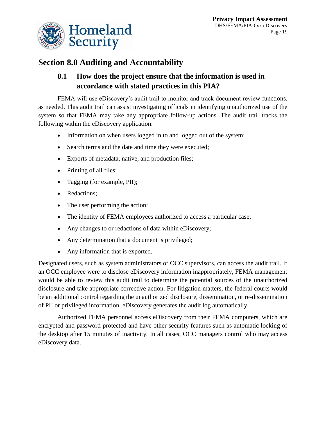

# **Section 8.0 Auditing and Accountability**

### **8.1 How does the project ensure that the information is used in accordance with stated practices in this PIA?**

FEMA will use eDiscovery's audit trail to monitor and track document review functions, as needed. This audit trail can assist investigating officials in identifying unauthorized use of the system so that FEMA may take any appropriate follow-up actions. The audit trail tracks the following within the eDiscovery application:

- Information on when users logged in to and logged out of the system;
- Search terms and the date and time they were executed;
- Exports of metadata, native, and production files;
- Printing of all files;
- Tagging (for example, PII);
- Redactions:
- The user performing the action;
- The identity of FEMA employees authorized to access a particular case;
- Any changes to or redactions of data within eDiscovery;
- Any determination that a document is privileged;
- Any information that is exported.

Designated users, such as system administrators or OCC supervisors, can access the audit trail. If an OCC employee were to disclose eDiscovery information inappropriately, FEMA management would be able to review this audit trail to determine the potential sources of the unauthorized disclosure and take appropriate corrective action. For litigation matters, the federal courts would be an additional control regarding the unauthorized disclosure, dissemination, or re-dissemination of PII or privileged information. eDiscovery generates the audit log automatically.

Authorized FEMA personnel access eDiscovery from their FEMA computers, which are encrypted and password protected and have other security features such as automatic locking of the desktop after 15 minutes of inactivity. In all cases, OCC managers control who may access eDiscovery data.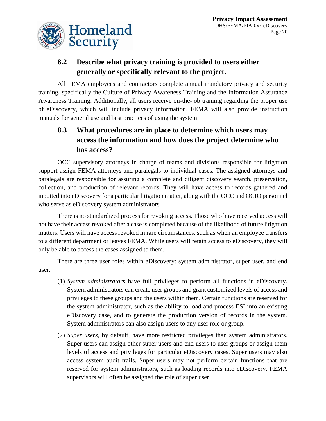

# **8.2 Describe what privacy training is provided to users either generally or specifically relevant to the project.**

All FEMA employees and contractors complete annual mandatory privacy and security training, specifically the Culture of Privacy Awareness Training and the Information Assurance Awareness Training. Additionally, all users receive on-the-job training regarding the proper use of eDiscovery, which will include privacy information. FEMA will also provide instruction manuals for general use and best practices of using the system.

### **8.3 What procedures are in place to determine which users may access the information and how does the project determine who has access?**

OCC supervisory attorneys in charge of teams and divisions responsible for litigation support assign FEMA attorneys and paralegals to individual cases. The assigned attorneys and paralegals are responsible for assuring a complete and diligent discovery search, preservation, collection, and production of relevant records. They will have access to records gathered and inputted into eDiscovery for a particular litigation matter, along with the OCC and OCIO personnel who serve as eDiscovery system administrators.

There is no standardized process for revoking access. Those who have received access will not have their access revoked after a case is completed because of the likelihood of future litigation matters. Users will have access revoked in rare circumstances, such as when an employee transfers to a different department or leaves FEMA. While users will retain access to eDiscovery, they will only be able to access the cases assigned to them.

There are three user roles within eDiscovery: system administrator, super user, and end user.

- (1) *System administrators* have full privileges to perform all functions in eDiscovery. System administrators can create user groups and grant customized levels of access and privileges to these groups and the users within them. Certain functions are reserved for the system administrator, such as the ability to load and process ESI into an existing eDiscovery case, and to generate the production version of records in the system. System administrators can also assign users to any user role or group.
- (2) *Super users*, by default, have more restricted privileges than system administrators. Super users can assign other super users and end users to user groups or assign them levels of access and privileges for particular eDiscovery cases. Super users may also access system audit trails. Super users may not perform certain functions that are reserved for system administrators, such as loading records into eDiscovery. FEMA supervisors will often be assigned the role of super user.